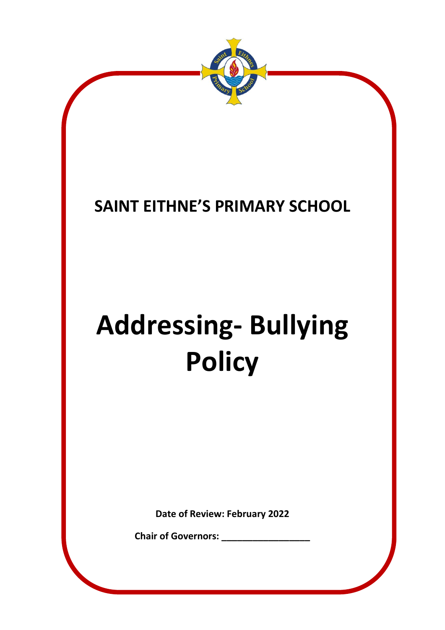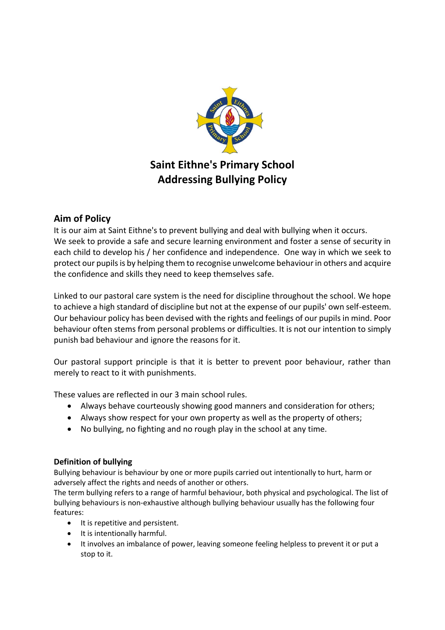

# **Aim of Policy**

It is our aim at Saint Eithne's to prevent bullying and deal with bullying when it occurs. We seek to provide a safe and secure learning environment and foster a sense of security in each child to develop his / her confidence and independence. One way in which we seek to protect our pupils is by helping them to recognise unwelcome behaviour in others and acquire the confidence and skills they need to keep themselves safe.

Linked to our pastoral care system is the need for discipline throughout the school. We hope to achieve a high standard of discipline but not at the expense of our pupils' own self-esteem. Our behaviour policy has been devised with the rights and feelings of our pupils in mind. Poor behaviour often stems from personal problems or difficulties. It is not our intention to simply punish bad behaviour and ignore the reasons for it.

Our pastoral support principle is that it is better to prevent poor behaviour, rather than merely to react to it with punishments.

These values are reflected in our 3 main school rules.

- Always behave courteously showing good manners and consideration for others;
- Always show respect for your own property as well as the property of others;
- No bullying, no fighting and no rough play in the school at any time.

## **Definition of bullying**

Bullying behaviour is behaviour by one or more pupils carried out intentionally to hurt, harm or adversely affect the rights and needs of another or others.

The term bullying refers to a range of harmful behaviour, both physical and psychological. The list of bullying behaviours is non-exhaustive although bullying behaviour usually has the following four features:

- It is repetitive and persistent.
- It is intentionally harmful.
- It involves an imbalance of power, leaving someone feeling helpless to prevent it or put a stop to it.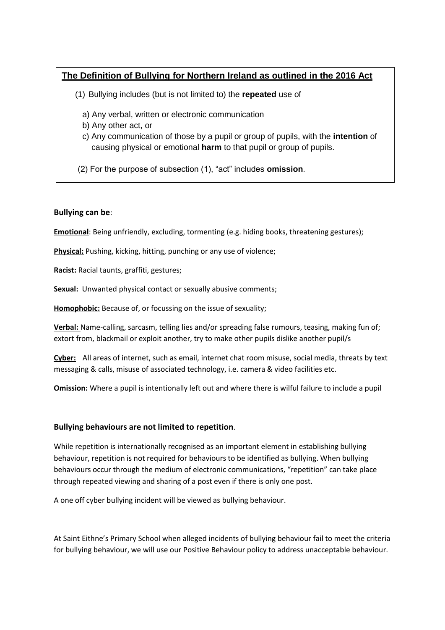## **The Definition of Bullying for Northern Ireland as outlined in the 2016 Act**

- (1) Bullying includes (but is not limited to) the **repeated** use of
	- a) Any verbal, written or electronic communication
	- b) Any other act, or
	- c) Any communication of those by a pupil or group of pupils, with the **intention** of causing physical or emotional **harm** to that pupil or group of pupils.
- (2) For the purpose of subsection (1), "act" includes **omission**.

### **Bullying can be**:

**Emotional**: Being unfriendly, excluding, tormenting (e.g. hiding books, threatening gestures);

**Physical:** Pushing, kicking, hitting, punching or any use of violence;

**Racist:** Racial taunts, graffiti, gestures;

**Sexual:** Unwanted physical contact or sexually abusive comments;

**Homophobic:** Because of, or focussing on the issue of sexuality;

**Verbal:** Name-calling, sarcasm, telling lies and/or spreading false rumours, teasing, making fun of; extort from, blackmail or exploit another, try to make other pupils dislike another pupil/s

**Cyber:** All areas of internet, such as email, internet chat room misuse, social media, threats by text messaging & calls, misuse of associated technology, i.e. camera & video facilities etc.

**Omission:** Where a pupil is intentionally left out and where there is wilful failure to include a pupil

#### **Bullying behaviours are not limited to repetition**.

While repetition is internationally recognised as an important element in establishing bullying behaviour, repetition is not required for behaviours to be identified as bullying. When bullying behaviours occur through the medium of electronic communications, "repetition" can take place through repeated viewing and sharing of a post even if there is only one post.

A one off cyber bullying incident will be viewed as bullying behaviour.

At Saint Eithne's Primary School when alleged incidents of bullying behaviour fail to meet the criteria for bullying behaviour, we will use our Positive Behaviour policy to address unacceptable behaviour.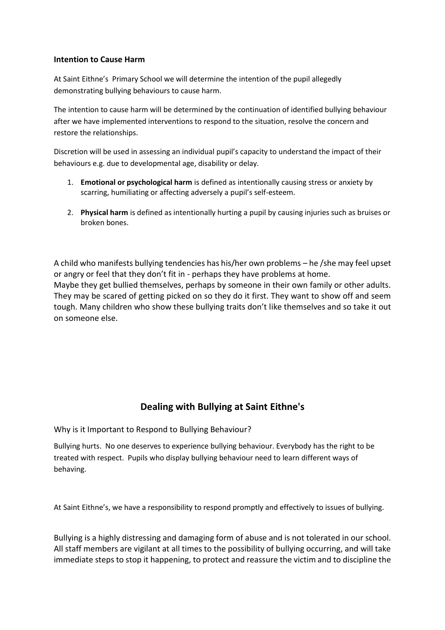#### **Intention to Cause Harm**

At Saint Eithne's Primary School we will determine the intention of the pupil allegedly demonstrating bullying behaviours to cause harm.

The intention to cause harm will be determined by the continuation of identified bullying behaviour after we have implemented interventions to respond to the situation, resolve the concern and restore the relationships.

Discretion will be used in assessing an individual pupil's capacity to understand the impact of their behaviours e.g. due to developmental age, disability or delay.

- 1. **Emotional or psychological harm** is defined as intentionally causing stress or anxiety by scarring, humiliating or affecting adversely a pupil's self-esteem.
- 2. **Physical harm** is defined as intentionally hurting a pupil by causing injuries such as bruises or broken bones.

A child who manifests bullying tendencies has his/her own problems – he /she may feel upset or angry or feel that they don't fit in - perhaps they have problems at home. Maybe they get bullied themselves, perhaps by someone in their own family or other adults. They may be scared of getting picked on so they do it first. They want to show off and seem tough. Many children who show these bullying traits don't like themselves and so take it out on someone else.

# **Dealing with Bullying at Saint Eithne's**

Why is it Important to Respond to Bullying Behaviour?

Bullying hurts. No one deserves to experience bullying behaviour. Everybody has the right to be treated with respect. Pupils who display bullying behaviour need to learn different ways of behaving.

At Saint Eithne's, we have a responsibility to respond promptly and effectively to issues of bullying.

Bullying is a highly distressing and damaging form of abuse and is not tolerated in our school. All staff members are vigilant at all times to the possibility of bullying occurring, and will take immediate steps to stop it happening, to protect and reassure the victim and to discipline the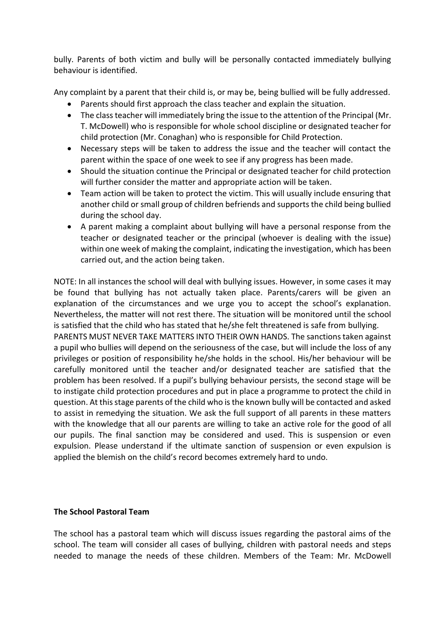bully. Parents of both victim and bully will be personally contacted immediately bullying behaviour is identified.

Any complaint by a parent that their child is, or may be, being bullied will be fully addressed.

- Parents should first approach the class teacher and explain the situation.
- The class teacher will immediately bring the issue to the attention of the Principal (Mr. T. McDowell) who is responsible for whole school discipline or designated teacher for child protection (Mr. Conaghan) who is responsible for Child Protection.
- Necessary steps will be taken to address the issue and the teacher will contact the parent within the space of one week to see if any progress has been made.
- Should the situation continue the Principal or designated teacher for child protection will further consider the matter and appropriate action will be taken.
- Team action will be taken to protect the victim. This will usually include ensuring that another child or small group of children befriends and supports the child being bullied during the school day.
- A parent making a complaint about bullying will have a personal response from the teacher or designated teacher or the principal (whoever is dealing with the issue) within one week of making the complaint, indicating the investigation, which has been carried out, and the action being taken.

NOTE: In all instances the school will deal with bullying issues. However, in some cases it may be found that bullying has not actually taken place. Parents/carers will be given an explanation of the circumstances and we urge you to accept the school's explanation. Nevertheless, the matter will not rest there. The situation will be monitored until the school is satisfied that the child who has stated that he/she felt threatened is safe from bullying. PARENTS MUST NEVER TAKE MATTERS INTO THEIR OWN HANDS. The sanctions taken against a pupil who bullies will depend on the seriousness of the case, but will include the loss of any privileges or position of responsibility he/she holds in the school. His/her behaviour will be carefully monitored until the teacher and/or designated teacher are satisfied that the problem has been resolved. If a pupil's bullying behaviour persists, the second stage will be to instigate child protection procedures and put in place a programme to protect the child in question. At this stage parents of the child who is the known bully will be contacted and asked to assist in remedying the situation. We ask the full support of all parents in these matters with the knowledge that all our parents are willing to take an active role for the good of all our pupils. The final sanction may be considered and used. This is suspension or even expulsion. Please understand if the ultimate sanction of suspension or even expulsion is applied the blemish on the child's record becomes extremely hard to undo.

## **The School Pastoral Team**

The school has a pastoral team which will discuss issues regarding the pastoral aims of the school. The team will consider all cases of bullying, children with pastoral needs and steps needed to manage the needs of these children. Members of the Team: Mr. McDowell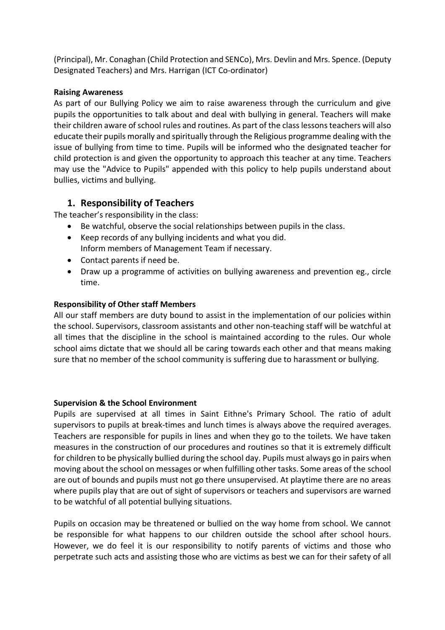(Principal), Mr. Conaghan (Child Protection and SENCo), Mrs. Devlin and Mrs. Spence. (Deputy Designated Teachers) and Mrs. Harrigan (ICT Co-ordinator)

### **Raising Awareness**

As part of our Bullying Policy we aim to raise awareness through the curriculum and give pupils the opportunities to talk about and deal with bullying in general. Teachers will make their children aware of school rules and routines. As part of the class lessons teachers will also educate their pupils morally and spiritually through the Religious programme dealing with the issue of bullying from time to time. Pupils will be informed who the designated teacher for child protection is and given the opportunity to approach this teacher at any time. Teachers may use the "Advice to Pupils" appended with this policy to help pupils understand about bullies, victims and bullying.

## **1. Responsibility of Teachers**

The teacher's responsibility in the class:

- Be watchful, observe the social relationships between pupils in the class.
- Keep records of any bullying incidents and what you did. Inform members of Management Team if necessary.
- Contact parents if need be.
- Draw up a programme of activities on bullying awareness and prevention eg., circle time.

## **Responsibility of Other staff Members**

All our staff members are duty bound to assist in the implementation of our policies within the school. Supervisors, classroom assistants and other non-teaching staff will be watchful at all times that the discipline in the school is maintained according to the rules. Our whole school aims dictate that we should all be caring towards each other and that means making sure that no member of the school community is suffering due to harassment or bullying.

## **Supervision & the School Environment**

Pupils are supervised at all times in Saint Eithne's Primary School. The ratio of adult supervisors to pupils at break-times and lunch times is always above the required averages. Teachers are responsible for pupils in lines and when they go to the toilets. We have taken measures in the construction of our procedures and routines so that it is extremely difficult for children to be physically bullied during the school day. Pupils must always go in pairs when moving about the school on messages or when fulfilling other tasks. Some areas of the school are out of bounds and pupils must not go there unsupervised. At playtime there are no areas where pupils play that are out of sight of supervisors or teachers and supervisors are warned to be watchful of all potential bullying situations.

Pupils on occasion may be threatened or bullied on the way home from school. We cannot be responsible for what happens to our children outside the school after school hours. However, we do feel it is our responsibility to notify parents of victims and those who perpetrate such acts and assisting those who are victims as best we can for their safety of all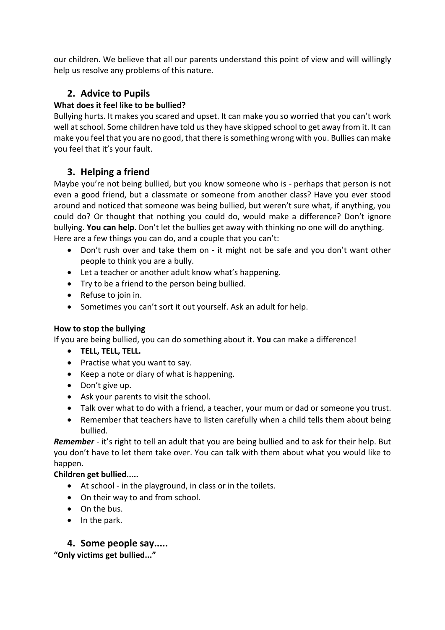our children. We believe that all our parents understand this point of view and will willingly help us resolve any problems of this nature.

# **2. Advice to Pupils**

## **What does it feel like to be bullied?**

Bullying hurts. It makes you scared and upset. It can make you so worried that you can't work well at school. Some children have told us they have skipped school to get away from it. It can make you feel that you are no good, that there is something wrong with you. Bullies can make you feel that it's your fault.

# **3. Helping a friend**

Maybe you're not being bullied, but you know someone who is - perhaps that person is not even a good friend, but a classmate or someone from another class? Have you ever stood around and noticed that someone was being bullied, but weren't sure what, if anything, you could do? Or thought that nothing you could do, would make a difference? Don't ignore bullying. **You can help**. Don't let the bullies get away with thinking no one will do anything. Here are a few things you can do, and a couple that you can't:

- Don't rush over and take them on it might not be safe and you don't want other people to think you are a bully.
- Let a teacher or another adult know what's happening.
- Try to be a friend to the person being bullied.
- Refuse to join in.
- Sometimes you can't sort it out yourself. Ask an adult for help.

## **How to stop the bullying**

If you are being bullied, you can do something about it. **You** can make a difference!

- **TELL, TELL, TELL.**
- Practise what you want to say.
- Keep a note or diary of what is happening.
- Don't give up.
- Ask your parents to visit the school.
- Talk over what to do with a friend, a teacher, your mum or dad or someone you trust.
- Remember that teachers have to listen carefully when a child tells them about being bullied.

*Remember* - it's right to tell an adult that you are being bullied and to ask for their help. But you don't have to let them take over. You can talk with them about what you would like to happen.

## **Children get bullied.....**

- At school in the playground, in class or in the toilets.
- On their way to and from school.
- On the bus.
- In the park.

# **4. Some people say.....**

**"Only victims get bullied..."**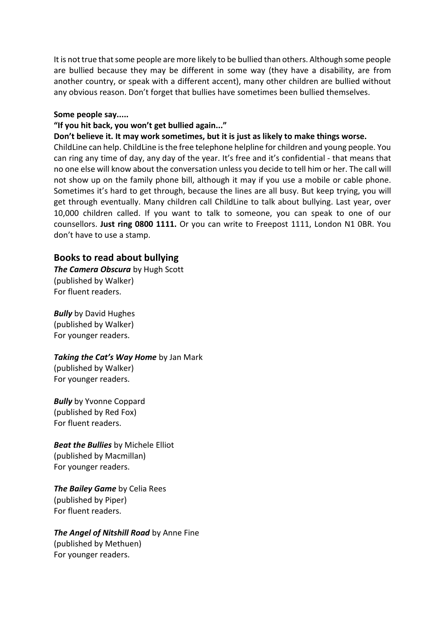It is not true that some people are more likely to be bullied than others. Although some people are bullied because they may be different in some way (they have a disability, are from another country, or speak with a different accent), many other children are bullied without any obvious reason. Don't forget that bullies have sometimes been bullied themselves.

#### **Some people say.....**

#### **"If you hit back, you won't get bullied again..."**

#### **Don't believe it. It may work sometimes, but it is just as likely to make things worse.**

ChildLine can help. ChildLine is the free telephone helpline for children and young people. You can ring any time of day, any day of the year. It's free and it's confidential - that means that no one else will know about the conversation unless you decide to tell him or her. The call will not show up on the family phone bill, although it may if you use a mobile or cable phone. Sometimes it's hard to get through, because the lines are all busy. But keep trying, you will get through eventually. Many children call ChildLine to talk about bullying. Last year, over 10,000 children called. If you want to talk to someone, you can speak to one of our counsellors. **Just ring 0800 1111.** Or you can write to Freepost 1111, London N1 0BR. You don't have to use a stamp.

#### **Books to read about bullying**

*The Camera Obscura* by Hugh Scott (published by Walker) For fluent readers.

*Bully* by David Hughes (published by Walker) For younger readers.

#### *Taking the Cat's Way Home* by Jan Mark

(published by Walker) For younger readers.

*Bully* by Yvonne Coppard (published by Red Fox) For fluent readers.

*Beat the Bullies* by Michele Elliot (published by Macmillan) For younger readers.

*The Bailey Game by Celia Rees* (published by Piper) For fluent readers.

*The Angel of Nitshill Road* by Anne Fine (published by Methuen) For younger readers.